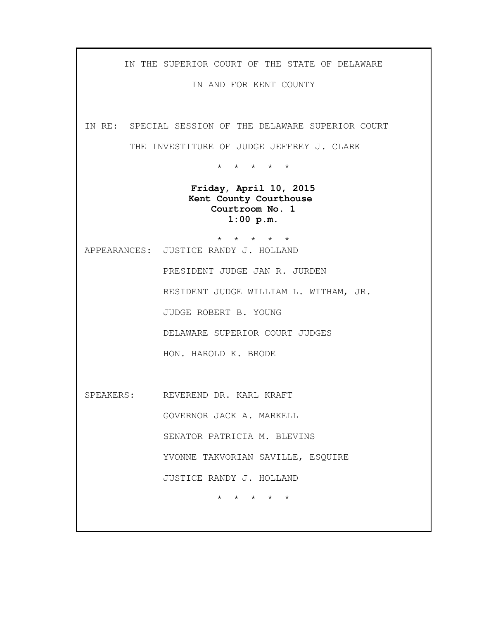IN THE SUPERIOR COURT OF THE STATE OF DELAWARE

IN AND FOR KENT COUNTY

IN RE: SPECIAL SESSION OF THE DELAWARE SUPERIOR COURT

THE INVESTITURE OF JUDGE JEFFREY J. CLARK

\* \* \* \* \*

**Friday, April 10, 2015 Kent County Courthouse Courtroom No. 1 1:00 p.m.**

\* \* \* \* \* APPEARANCES: JUSTICE RANDY J. HOLLAND

> PRESIDENT JUDGE JAN R. JURDEN RESIDENT JUDGE WILLIAM L. WITHAM, JR. JUDGE ROBERT B. YOUNG DELAWARE SUPERIOR COURT JUDGES HON. HAROLD K. BRODE

SPEAKERS: REVEREND DR. KARL KRAFT GOVERNOR JACK A. MARKELL SENATOR PATRICIA M. BLEVINS YVONNE TAKVORIAN SAVILLE, ESQUIRE JUSTICE RANDY J. HOLLAND \* \* \* \* \*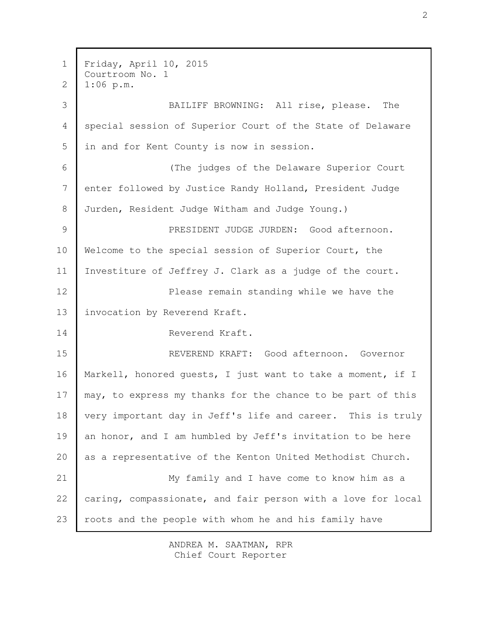Friday, April 10, 2015 Courtroom No. 1 1:06 p.m. BAILIFF BROWNING: All rise, please. The special session of Superior Court of the State of Delaware in and for Kent County is now in session. (The judges of the Delaware Superior Court enter followed by Justice Randy Holland, President Judge Jurden, Resident Judge Witham and Judge Young.) PRESIDENT JUDGE JURDEN: Good afternoon. Welcome to the special session of Superior Court, the Investiture of Jeffrey J. Clark as a judge of the court. Please remain standing while we have the invocation by Reverend Kraft. Reverend Kraft. REVEREND KRAFT: Good afternoon. Governor Markell, honored guests, I just want to take a moment, if I may, to express my thanks for the chance to be part of this very important day in Jeff's life and career. This is truly an honor, and I am humbled by Jeff's invitation to be here as a representative of the Kenton United Methodist Church. My family and I have come to know him as a caring, compassionate, and fair person with a love for local roots and the people with whom he and his family have 1 2 3 4 5 6 7 8 9 10 11 12 13 14 15 16 17 18 19 20 21 22 23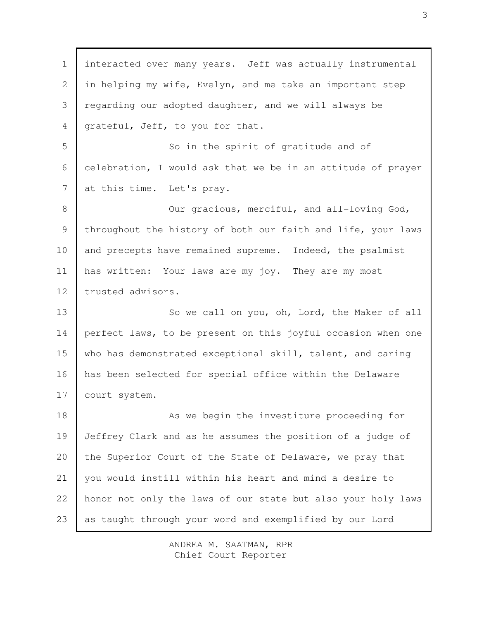interacted over many years. Jeff was actually instrumental in helping my wife, Evelyn, and me take an important step regarding our adopted daughter, and we will always be grateful, Jeff, to you for that. So in the spirit of gratitude and of celebration, I would ask that we be in an attitude of prayer at this time. Let's pray. Our gracious, merciful, and all-loving God, throughout the history of both our faith and life, your laws and precepts have remained supreme. Indeed, the psalmist has written: Your laws are my joy. They are my most trusted advisors. So we call on you, oh, Lord, the Maker of all perfect laws, to be present on this joyful occasion when one who has demonstrated exceptional skill, talent, and caring has been selected for special office within the Delaware court system. As we begin the investiture proceeding for Jeffrey Clark and as he assumes the position of a judge of the Superior Court of the State of Delaware, we pray that you would instill within his heart and mind a desire to honor not only the laws of our state but also your holy laws as taught through your word and exemplified by our Lord 1 2 3 4 5 6 7 8 9 10 11 12 13 14 15 16 17 18 19 20 21 22 23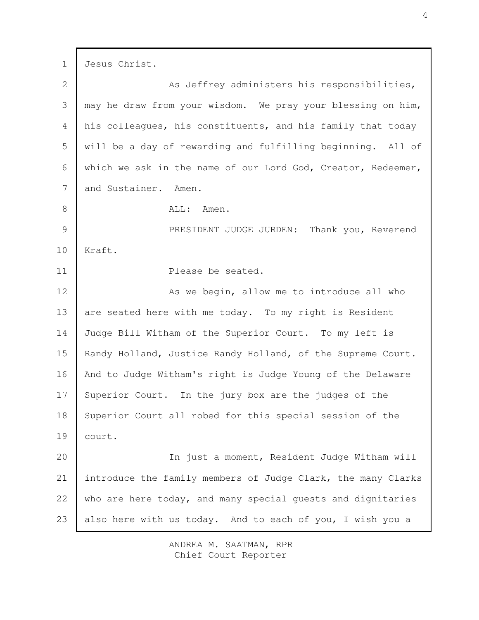Jesus Christ. As Jeffrey administers his responsibilities, may he draw from your wisdom. We pray your blessing on him, his colleagues, his constituents, and his family that today will be a day of rewarding and fulfilling beginning. All of which we ask in the name of our Lord God, Creator, Redeemer, and Sustainer. Amen. ALL: Amen. PRESIDENT JUDGE JURDEN: Thank you, Reverend Kraft. Please be seated. As we begin, allow me to introduce all who are seated here with me today. To my right is Resident Judge Bill Witham of the Superior Court. To my left is Randy Holland, Justice Randy Holland, of the Supreme Court. And to Judge Witham's right is Judge Young of the Delaware Superior Court. In the jury box are the judges of the Superior Court all robed for this special session of the court. In just a moment, Resident Judge Witham will introduce the family members of Judge Clark, the many Clarks who are here today, and many special guests and dignitaries also here with us today. And to each of you, I wish you a 1 2 3 4 5 6 7 8 9 10 11 12 13 14 15 16 17 18 19 20 21 22 23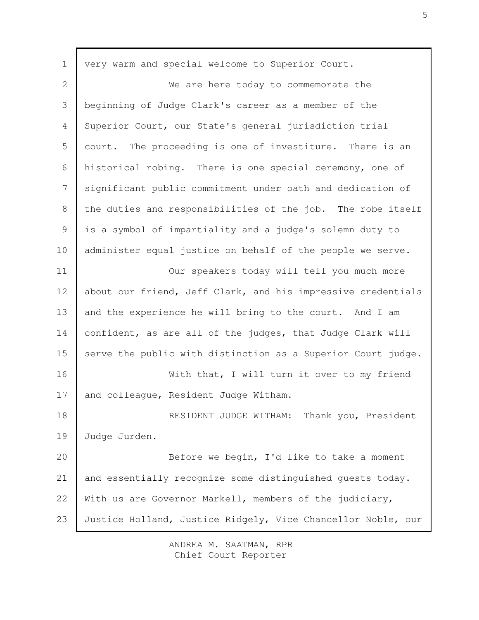| $\mathbf 1$    | very warm and special welcome to Superior Court.             |
|----------------|--------------------------------------------------------------|
| $\overline{2}$ | We are here today to commemorate the                         |
| 3              | beginning of Judge Clark's career as a member of the         |
| 4              | Superior Court, our State's general jurisdiction trial       |
| 5              | court. The proceeding is one of investiture. There is an     |
| 6              | historical robing. There is one special ceremony, one of     |
| 7              | significant public commitment under oath and dedication of   |
| 8              | the duties and responsibilities of the job. The robe itself  |
| 9              | is a symbol of impartiality and a judge's solemn duty to     |
| 10             | administer equal justice on behalf of the people we serve.   |
| 11             | Our speakers today will tell you much more                   |
| 12             | about our friend, Jeff Clark, and his impressive credentials |
| 13             | and the experience he will bring to the court. And I am      |
| 14             | confident, as are all of the judges, that Judge Clark will   |
| 15             | serve the public with distinction as a Superior Court judge. |
| 16             | With that, I will turn it over to my friend                  |
| 17             | and colleague, Resident Judge Witham.                        |
| 18             | RESIDENT JUDGE WITHAM:<br>Thank you, President               |
| 19             | Judge Jurden.                                                |
| 20             | Before we begin, I'd like to take a moment                   |
| 21             | and essentially recognize some distinguished guests today.   |
| 22             | With us are Governor Markell, members of the judiciary,      |
| 23             | Justice Holland, Justice Ridgely, Vice Chancellor Noble, our |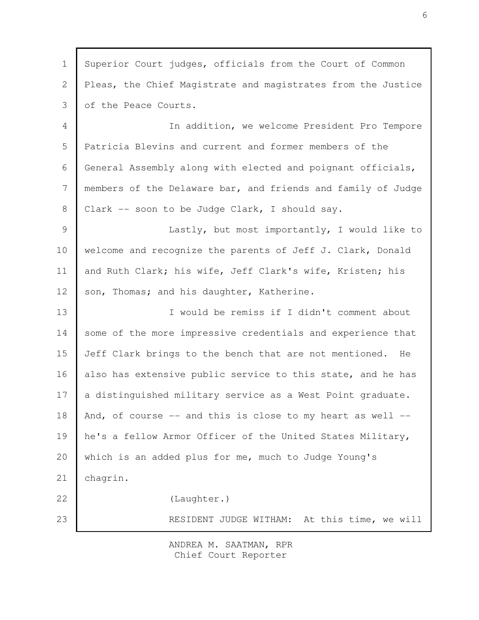Superior Court judges, officials from the Court of Common Pleas, the Chief Magistrate and magistrates from the Justice of the Peace Courts. In addition, we welcome President Pro Tempore Patricia Blevins and current and former members of the General Assembly along with elected and poignant officials, members of the Delaware bar, and friends and family of Judge Clark -- soon to be Judge Clark, I should say. Lastly, but most importantly, I would like to welcome and recognize the parents of Jeff J. Clark, Donald and Ruth Clark; his wife, Jeff Clark's wife, Kristen; his son, Thomas; and his daughter, Katherine. I would be remiss if I didn't comment about some of the more impressive credentials and experience that Jeff Clark brings to the bench that are not mentioned. He also has extensive public service to this state, and he has a distinguished military service as a West Point graduate. And, of course  $--$  and this is close to my heart as well  $-$ he's a fellow Armor Officer of the United States Military, which is an added plus for me, much to Judge Young's chagrin. (Laughter.) RESIDENT JUDGE WITHAM: At this time, we will 1 2 3 4 5 6 7 8 9 10 11 12 13 14 15 16 17 18 19 20 21 22 23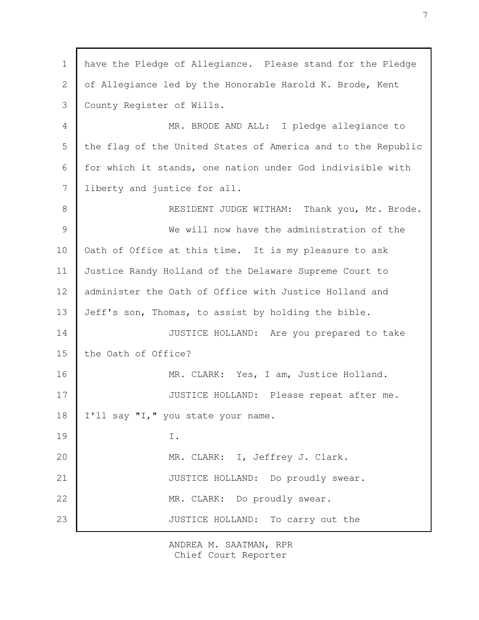have the Pledge of Allegiance. Please stand for the Pledge of Allegiance led by the Honorable Harold K. Brode, Kent County Register of Wills. MR. BRODE AND ALL: I pledge allegiance to the flag of the United States of America and to the Republic for which it stands, one nation under God indivisible with liberty and justice for all. RESIDENT JUDGE WITHAM: Thank you, Mr. Brode. We will now have the administration of the Oath of Office at this time. It is my pleasure to ask Justice Randy Holland of the Delaware Supreme Court to administer the Oath of Office with Justice Holland and Jeff's son, Thomas, to assist by holding the bible. JUSTICE HOLLAND: Are you prepared to take the Oath of Office? MR. CLARK: Yes, I am, Justice Holland. JUSTICE HOLLAND: Please repeat after me. I'll say "I," you state your name. I. MR. CLARK: I, Jeffrey J. Clark. JUSTICE HOLLAND: Do proudly swear. MR. CLARK: Do proudly swear. JUSTICE HOLLAND: To carry out the 1 2 3 4 5 6 7 8 9 10 11 12 13 14 15 16 17 18 19 20 21 22 23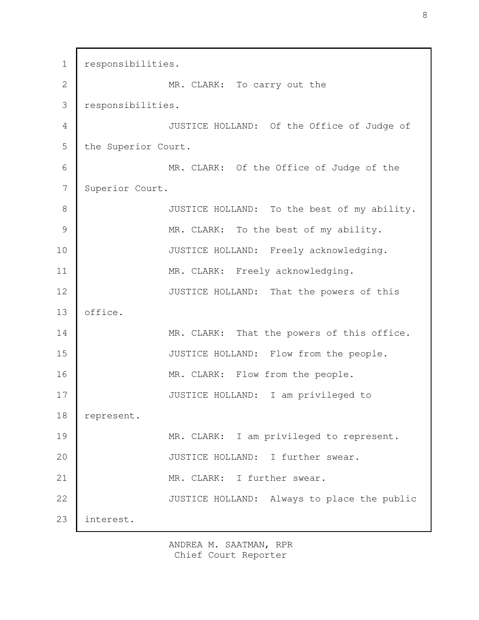responsibilities. MR. CLARK: To carry out the responsibilities. JUSTICE HOLLAND: Of the Office of Judge of the Superior Court. MR. CLARK: Of the Office of Judge of the Superior Court. JUSTICE HOLLAND: To the best of my ability. MR. CLARK: To the best of my ability. JUSTICE HOLLAND: Freely acknowledging. MR. CLARK: Freely acknowledging. JUSTICE HOLLAND: That the powers of this office. MR. CLARK: That the powers of this office. JUSTICE HOLLAND: Flow from the people. MR. CLARK: Flow from the people. JUSTICE HOLLAND: I am privileged to represent. MR. CLARK: I am privileged to represent. JUSTICE HOLLAND: I further swear. MR. CLARK: I further swear. JUSTICE HOLLAND: Always to place the public interest. 1 2 3 4 5 6 7 8 9 10 11 12 13 14 15 16 17 18 19 20 21 22 23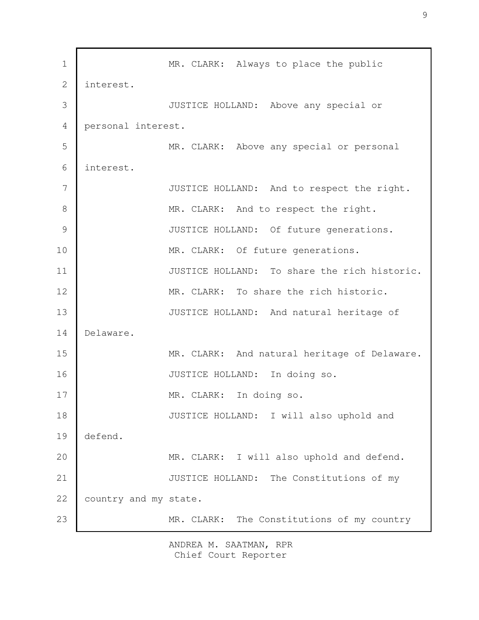MR. CLARK: Always to place the public interest. JUSTICE HOLLAND: Above any special or personal interest. MR. CLARK: Above any special or personal interest. JUSTICE HOLLAND: And to respect the right. MR. CLARK: And to respect the right. JUSTICE HOLLAND: Of future generations. MR. CLARK: Of future generations. JUSTICE HOLLAND: To share the rich historic. MR. CLARK: To share the rich historic. JUSTICE HOLLAND: And natural heritage of Delaware. MR. CLARK: And natural heritage of Delaware. JUSTICE HOLLAND: In doing so. MR. CLARK: In doing so. JUSTICE HOLLAND: I will also uphold and defend. MR. CLARK: I will also uphold and defend. JUSTICE HOLLAND: The Constitutions of my country and my state. MR. CLARK: The Constitutions of my country 1 2 3 4 5 6 7 8 9 10 11 12 13 14 15 16 17 18 19 20 21 22 23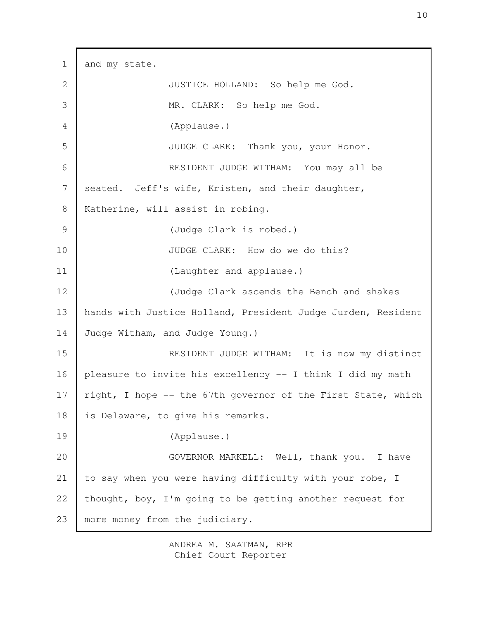and my state. JUSTICE HOLLAND: So help me God. MR. CLARK: So help me God. (Applause.) JUDGE CLARK: Thank you, your Honor. RESIDENT JUDGE WITHAM: You may all be seated. Jeff's wife, Kristen, and their daughter, Katherine, will assist in robing. (Judge Clark is robed.) JUDGE CLARK: How do we do this? (Laughter and applause.) (Judge Clark ascends the Bench and shakes hands with Justice Holland, President Judge Jurden, Resident Judge Witham, and Judge Young.) RESIDENT JUDGE WITHAM: It is now my distinct pleasure to invite his excellency -- I think I did my math right, I hope -- the 67th governor of the First State, which is Delaware, to give his remarks. (Applause.) GOVERNOR MARKELL: Well, thank you. I have to say when you were having difficulty with your robe, I thought, boy, I'm going to be getting another request for more money from the judiciary. 1 2 3 4 5 6 7 8 9 10 11 12 13 14 15 16 17 18 19 20 21 22 23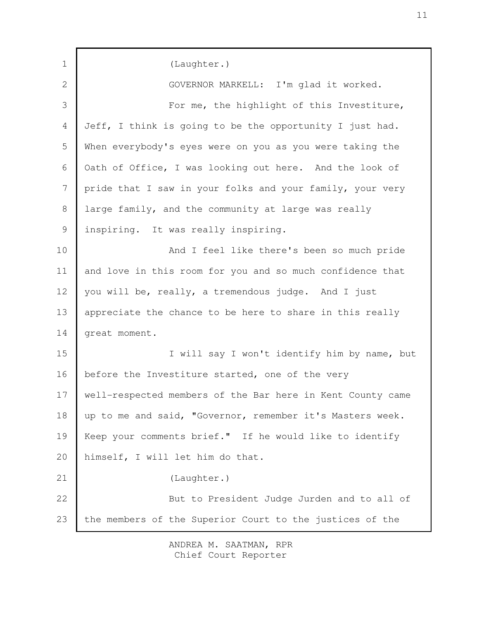| $\mathbf 1$  | (Laughter.)                                                |
|--------------|------------------------------------------------------------|
| $\mathbf{2}$ | GOVERNOR MARKELL: I'm glad it worked.                      |
| 3            | For me, the highlight of this Investiture,                 |
| 4            | Jeff, I think is going to be the opportunity I just had.   |
| 5            | When everybody's eyes were on you as you were taking the   |
| 6            | Oath of Office, I was looking out here. And the look of    |
| 7            | pride that I saw in your folks and your family, your very  |
| 8            | large family, and the community at large was really        |
| 9            | inspiring. It was really inspiring.                        |
| 10           | And I feel like there's been so much pride                 |
| 11           | and love in this room for you and so much confidence that  |
| 12           | you will be, really, a tremendous judge. And I just        |
| 13           | appreciate the chance to be here to share in this really   |
| 14           | great moment.                                              |
| 15           | I will say I won't identify him by name, but               |
| 16           | before the Investiture started, one of the very            |
| 17           | well-respected members of the Bar here in Kent County came |
| 18           | up to me and said, "Governor, remember it's Masters week.  |
| 19           | Keep your comments brief." If he would like to identify    |
| 20           | himself, I will let him do that.                           |
| 21           | (Laughter.)                                                |
| 22           | But to President Judge Jurden and to all of                |
| 23           | the members of the Superior Court to the justices of the   |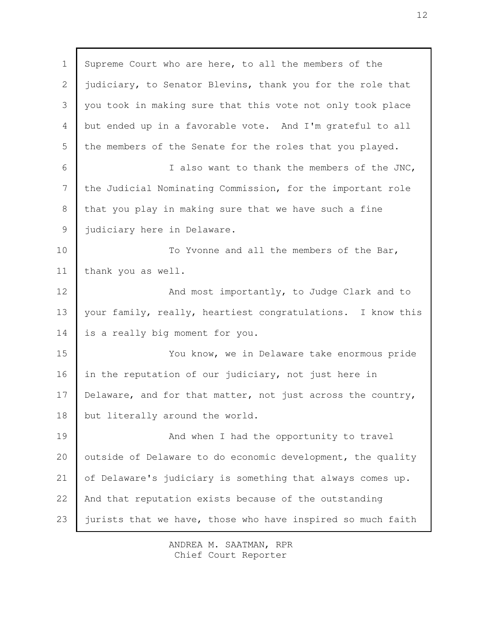Supreme Court who are here, to all the members of the judiciary, to Senator Blevins, thank you for the role that you took in making sure that this vote not only took place but ended up in a favorable vote. And I'm grateful to all the members of the Senate for the roles that you played. I also want to thank the members of the JNC, the Judicial Nominating Commission, for the important role that you play in making sure that we have such a fine judiciary here in Delaware. To Yvonne and all the members of the Bar, thank you as well. And most importantly, to Judge Clark and to your family, really, heartiest congratulations. I know this is a really big moment for you. You know, we in Delaware take enormous pride in the reputation of our judiciary, not just here in Delaware, and for that matter, not just across the country, but literally around the world. And when I had the opportunity to travel outside of Delaware to do economic development, the quality of Delaware's judiciary is something that always comes up. And that reputation exists because of the outstanding jurists that we have, those who have inspired so much faith 1 2 3 4 5 6 7 8 9 10 11 12 13 14 15 16 17 18 19 20 21 22 23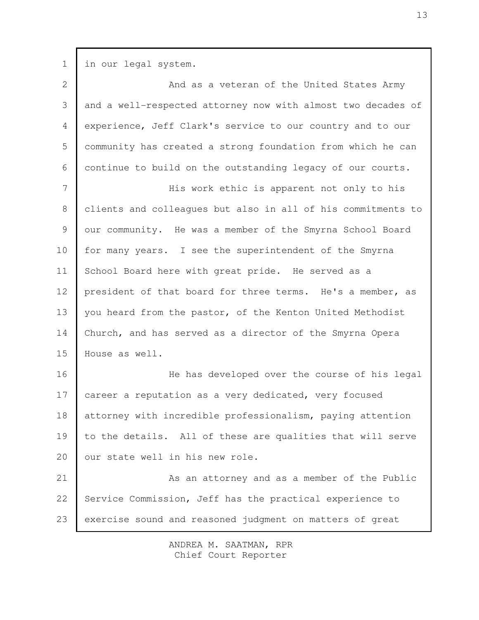in our legal system. And as a veteran of the United States Army and a well-respected attorney now with almost two decades of experience, Jeff Clark's service to our country and to our community has created a strong foundation from which he can continue to build on the outstanding legacy of our courts. His work ethic is apparent not only to his clients and colleagues but also in all of his commitments to our community. He was a member of the Smyrna School Board for many years. I see the superintendent of the Smyrna School Board here with great pride. He served as a president of that board for three terms. He's a member, as you heard from the pastor, of the Kenton United Methodist Church, and has served as a director of the Smyrna Opera House as well. He has developed over the course of his legal career a reputation as a very dedicated, very focused attorney with incredible professionalism, paying attention to the details. All of these are qualities that will serve our state well in his new role. As an attorney and as a member of the Public Service Commission, Jeff has the practical experience to exercise sound and reasoned judgment on matters of great 1 2 3 4 5 6 7 8 9 10 11 12 13 14 15 16 17 18 19 20 21 22 23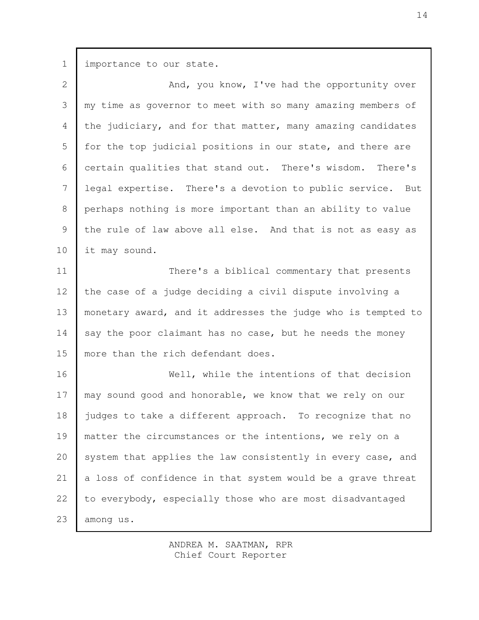| $\mathbf 1$     | importance to our state.                                     |
|-----------------|--------------------------------------------------------------|
| $\overline{2}$  | And, you know, I've had the opportunity over                 |
| 3               | my time as governor to meet with so many amazing members of  |
| 4               | the judiciary, and for that matter, many amazing candidates  |
| 5               | for the top judicial positions in our state, and there are   |
| 6               | certain qualities that stand out. There's wisdom. There's    |
| $7\phantom{.0}$ | legal expertise. There's a devotion to public service. But   |
| 8               | perhaps nothing is more important than an ability to value   |
| 9               | the rule of law above all else. And that is not as easy as   |
| 10              | it may sound.                                                |
| 11              | There's a biblical commentary that presents                  |
| 12              | the case of a judge deciding a civil dispute involving a     |
| 13              | monetary award, and it addresses the judge who is tempted to |
| 14              | say the poor claimant has no case, but he needs the money    |
| 15              | more than the rich defendant does.                           |
| 16              | Well, while the intentions of that decision                  |
| 17              | may sound good and honorable, we know that we rely on our    |
| 18              | judges to take a different approach. To recognize that no    |
| 19              | matter the circumstances or the intentions, we rely on a     |
| 20              | system that applies the law consistently in every case, and  |
| 21              | a loss of confidence in that system would be a grave threat  |
| 22              | to everybody, especially those who are most disadvantaged    |
| 23              | among us.                                                    |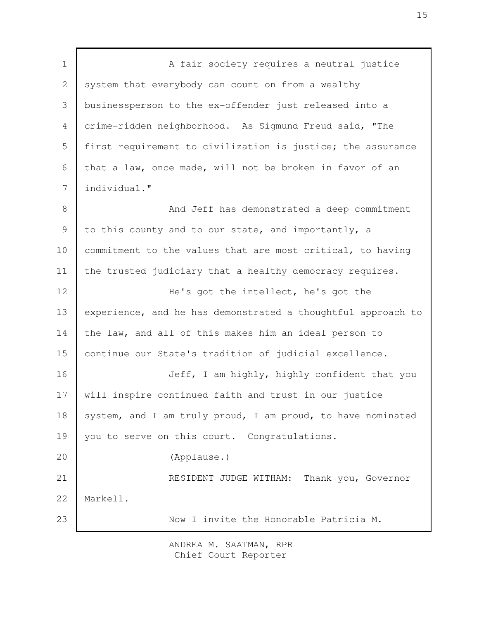A fair society requires a neutral justice system that everybody can count on from a wealthy businessperson to the ex-offender just released into a crime-ridden neighborhood. As Sigmund Freud said, "The first requirement to civilization is justice; the assurance that a law, once made, will not be broken in favor of an individual." And Jeff has demonstrated a deep commitment to this county and to our state, and importantly, a commitment to the values that are most critical, to having the trusted judiciary that a healthy democracy requires. He's got the intellect, he's got the experience, and he has demonstrated a thoughtful approach to the law, and all of this makes him an ideal person to continue our State's tradition of judicial excellence. Jeff, I am highly, highly confident that you will inspire continued faith and trust in our justice system, and I am truly proud, I am proud, to have nominated you to serve on this court. Congratulations. (Applause.) RESIDENT JUDGE WITHAM: Thank you, Governor Markell. Now I invite the Honorable Patricia M. 1 2 3 4 5 6 7 8 9 10 11 12 13 14 15 16 17 18 19 20 21 22 23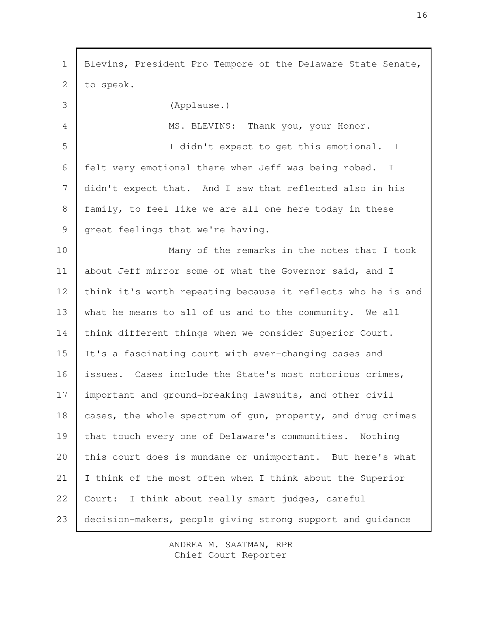Blevins, President Pro Tempore of the Delaware State Senate, to speak. (Applause.) MS. BLEVINS: Thank you, your Honor. I didn't expect to get this emotional. I felt very emotional there when Jeff was being robed. I didn't expect that. And I saw that reflected also in his family, to feel like we are all one here today in these great feelings that we're having. Many of the remarks in the notes that I took about Jeff mirror some of what the Governor said, and I think it's worth repeating because it reflects who he is and what he means to all of us and to the community. We all think different things when we consider Superior Court. It's a fascinating court with ever-changing cases and issues. Cases include the State's most notorious crimes, important and ground-breaking lawsuits, and other civil cases, the whole spectrum of gun, property, and drug crimes that touch every one of Delaware's communities. Nothing this court does is mundane or unimportant. But here's what I think of the most often when I think about the Superior Court: I think about really smart judges, careful decision-makers, people giving strong support and guidance 1 2 3 4 5 6 7 8 9 10 11 12 13 14 15 16 17 18 19 20 21 22 23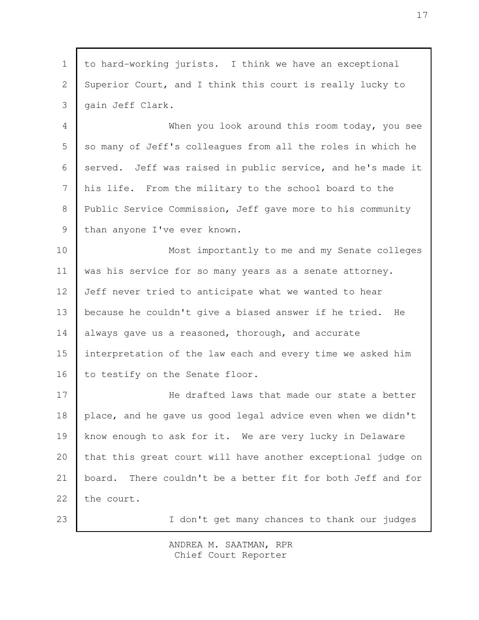to hard-working jurists. I think we have an exceptional Superior Court, and I think this court is really lucky to gain Jeff Clark. When you look around this room today, you see so many of Jeff's colleagues from all the roles in which he served. Jeff was raised in public service, and he's made it his life. From the military to the school board to the Public Service Commission, Jeff gave more to his community than anyone I've ever known. Most importantly to me and my Senate colleges was his service for so many years as a senate attorney. Jeff never tried to anticipate what we wanted to hear because he couldn't give a biased answer if he tried. He always gave us a reasoned, thorough, and accurate interpretation of the law each and every time we asked him to testify on the Senate floor. He drafted laws that made our state a better place, and he gave us good legal advice even when we didn't know enough to ask for it. We are very lucky in Delaware that this great court will have another exceptional judge on board. There couldn't be a better fit for both Jeff and for the court. I don't get many chances to thank our judges 1 2 3 4 5 6 7 8 9 10 11 12 13 14 15 16 17 18 19 20 21 22 23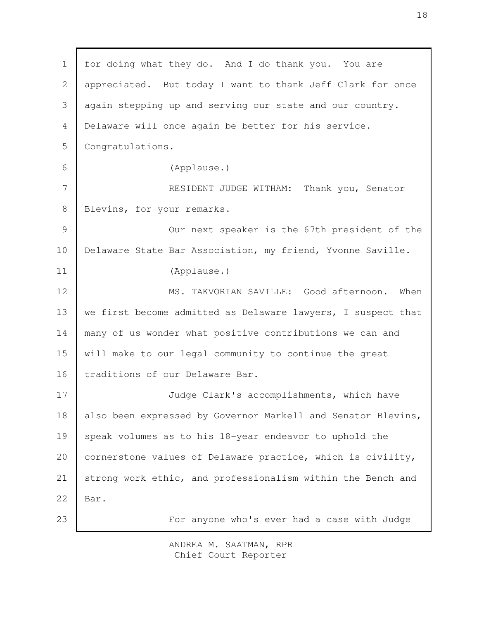for doing what they do. And I do thank you. You are appreciated. But today I want to thank Jeff Clark for once again stepping up and serving our state and our country. Delaware will once again be better for his service. Congratulations. (Applause.) RESIDENT JUDGE WITHAM: Thank you, Senator Blevins, for your remarks. Our next speaker is the 67th president of the Delaware State Bar Association, my friend, Yvonne Saville. (Applause.) MS. TAKVORIAN SAVILLE: Good afternoon. When we first become admitted as Delaware lawyers, I suspect that many of us wonder what positive contributions we can and will make to our legal community to continue the great traditions of our Delaware Bar. Judge Clark's accomplishments, which have also been expressed by Governor Markell and Senator Blevins, speak volumes as to his 18-year endeavor to uphold the cornerstone values of Delaware practice, which is civility, strong work ethic, and professionalism within the Bench and Bar. For anyone who's ever had a case with Judge 1 2 3 4 5 6 7 8 9 10 11 12 13 14 15 16 17 18 19 20 21 22 23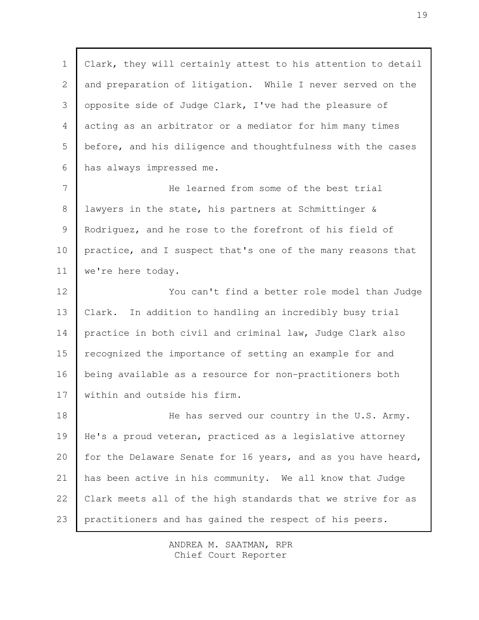Clark, they will certainly attest to his attention to detail and preparation of litigation. While I never served on the opposite side of Judge Clark, I've had the pleasure of acting as an arbitrator or a mediator for him many times before, and his diligence and thoughtfulness with the cases has always impressed me. He learned from some of the best trial lawyers in the state, his partners at Schmittinger & Rodriguez, and he rose to the forefront of his field of practice, and I suspect that's one of the many reasons that we're here today. You can't find a better role model than Judge Clark. In addition to handling an incredibly busy trial practice in both civil and criminal law, Judge Clark also recognized the importance of setting an example for and being available as a resource for non-practitioners both within and outside his firm. He has served our country in the U.S. Army. He's a proud veteran, practiced as a legislative attorney for the Delaware Senate for 16 years, and as you have heard, has been active in his community. We all know that Judge Clark meets all of the high standards that we strive for as practitioners and has gained the respect of his peers. 1 2 3 4 5 6 7 8 9 10 11 12 13 14 15 16 17 18 19 20 21 22 23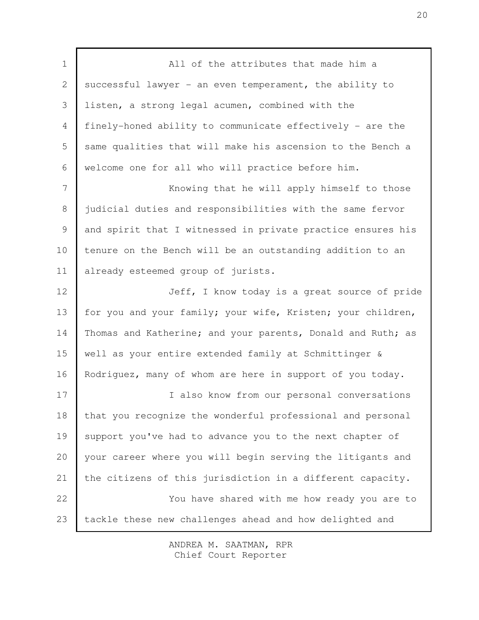All of the attributes that made him a successful lawyer - an even temperament, the ability to listen, a strong legal acumen, combined with the finely-honed ability to communicate effectively - are the same qualities that will make his ascension to the Bench a welcome one for all who will practice before him. Knowing that he will apply himself to those judicial duties and responsibilities with the same fervor and spirit that I witnessed in private practice ensures his tenure on the Bench will be an outstanding addition to an already esteemed group of jurists. Jeff, I know today is a great source of pride for you and your family; your wife, Kristen; your children, Thomas and Katherine; and your parents, Donald and Ruth; as well as your entire extended family at Schmittinger & Rodriguez, many of whom are here in support of you today. I also know from our personal conversations that you recognize the wonderful professional and personal support you've had to advance you to the next chapter of your career where you will begin serving the litigants and the citizens of this jurisdiction in a different capacity. You have shared with me how ready you are to tackle these new challenges ahead and how delighted and 1 2 3 4 5 6 7 8 9 10 11 12 13 14 15 16 17 18 19 20 21 22 23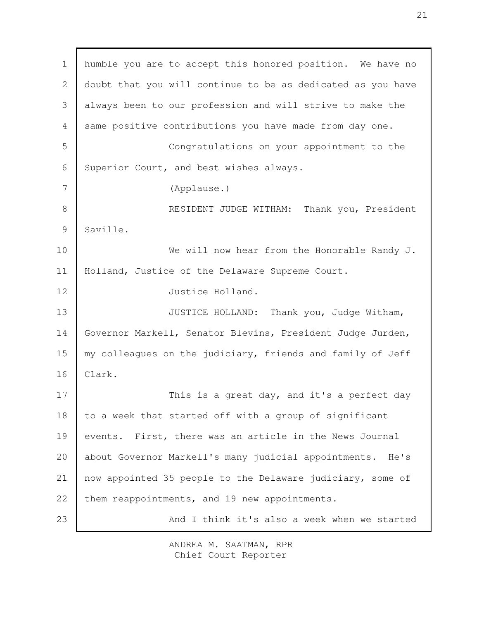humble you are to accept this honored position. We have no doubt that you will continue to be as dedicated as you have always been to our profession and will strive to make the same positive contributions you have made from day one. Congratulations on your appointment to the Superior Court, and best wishes always. (Applause.) RESIDENT JUDGE WITHAM: Thank you, President Saville. We will now hear from the Honorable Randy J. Holland, Justice of the Delaware Supreme Court. Justice Holland. JUSTICE HOLLAND: Thank you, Judge Witham, Governor Markell, Senator Blevins, President Judge Jurden, my colleagues on the judiciary, friends and family of Jeff Clark. This is a great day, and it's a perfect day to a week that started off with a group of significant events. First, there was an article in the News Journal about Governor Markell's many judicial appointments. He's now appointed 35 people to the Delaware judiciary, some of them reappointments, and 19 new appointments. And I think it's also a week when we started 1 2 3 4 5 6 7 8 9 10 11 12 13 14 15 16 17 18 19 20 21 22 23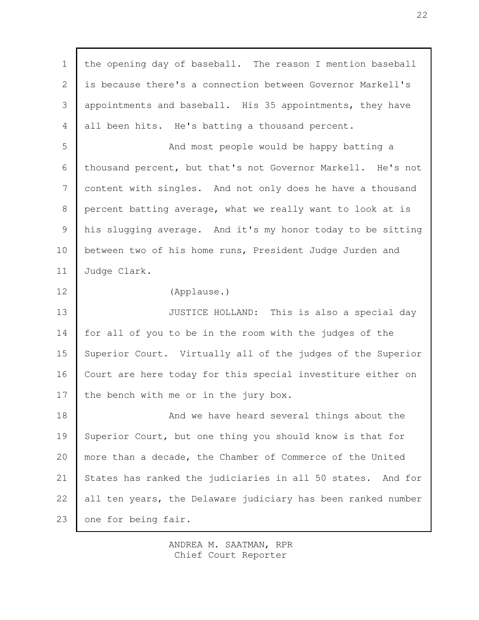the opening day of baseball. The reason I mention baseball is because there's a connection between Governor Markell's appointments and baseball. His 35 appointments, they have all been hits. He's batting a thousand percent. And most people would be happy batting a thousand percent, but that's not Governor Markell. He's not content with singles. And not only does he have a thousand percent batting average, what we really want to look at is his slugging average. And it's my honor today to be sitting between two of his home runs, President Judge Jurden and Judge Clark. (Applause.) JUSTICE HOLLAND: This is also a special day for all of you to be in the room with the judges of the Superior Court. Virtually all of the judges of the Superior Court are here today for this special investiture either on the bench with me or in the jury box. And we have heard several things about the Superior Court, but one thing you should know is that for more than a decade, the Chamber of Commerce of the United States has ranked the judiciaries in all 50 states. And for all ten years, the Delaware judiciary has been ranked number one for being fair. 1 2 3 4 5 6 7 8 9 10 11 12 13 14 15 16 17 18 19 20 21 22 23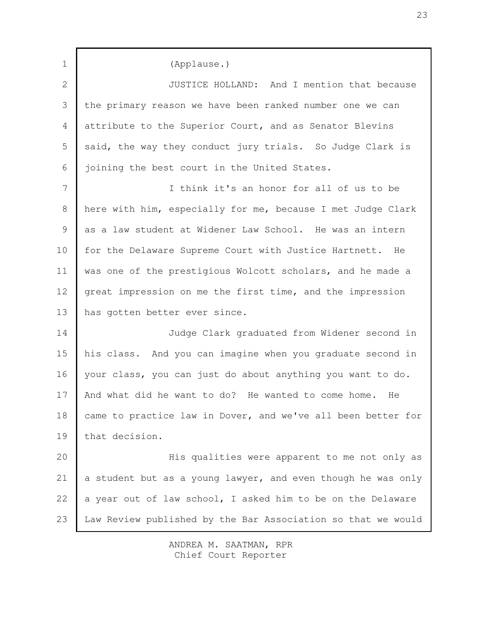(Applause.) JUSTICE HOLLAND: And I mention that because the primary reason we have been ranked number one we can attribute to the Superior Court, and as Senator Blevins said, the way they conduct jury trials. So Judge Clark is joining the best court in the United States. I think it's an honor for all of us to be here with him, especially for me, because I met Judge Clark as a law student at Widener Law School. He was an intern for the Delaware Supreme Court with Justice Hartnett. He was one of the prestigious Wolcott scholars, and he made a great impression on me the first time, and the impression has gotten better ever since. Judge Clark graduated from Widener second in his class. And you can imagine when you graduate second in your class, you can just do about anything you want to do. And what did he want to do? He wanted to come home. He came to practice law in Dover, and we've all been better for that decision. His qualities were apparent to me not only as a student but as a young lawyer, and even though he was only a year out of law school, I asked him to be on the Delaware Law Review published by the Bar Association so that we would 1 2 3 4 5 6 7 8 9 10 11 12 13 14 15 16 17 18 19 20 21 22 23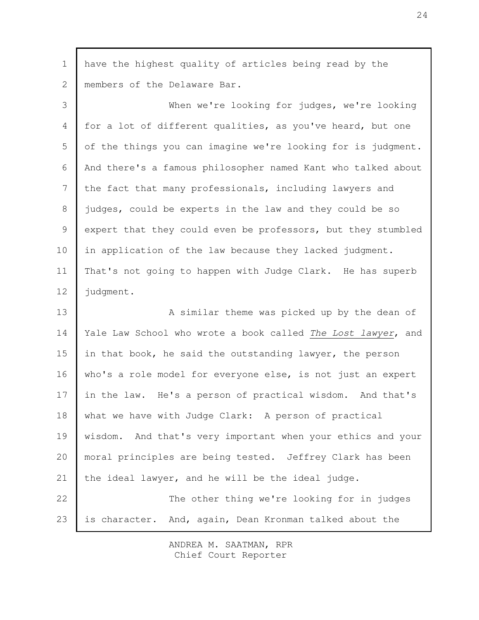| $\mathbf 1$ | have the highest quality of articles being read by the         |
|-------------|----------------------------------------------------------------|
| 2           | members of the Delaware Bar.                                   |
| 3           | When we're looking for judges, we're looking                   |
| 4           | for a lot of different qualities, as you've heard, but one     |
| 5           | of the things you can imagine we're looking for is judgment.   |
| 6           | And there's a famous philosopher named Kant who talked about   |
| 7           | the fact that many professionals, including lawyers and        |
| $8\,$       | judges, could be experts in the law and they could be so       |
| $\mathsf 9$ | expert that they could even be professors, but they stumbled   |
| 10          | in application of the law because they lacked judgment.        |
| 11          | That's not going to happen with Judge Clark. He has superb     |
| 12          | judgment.                                                      |
| 13          | A similar theme was picked up by the dean of                   |
| 14          | Yale Law School who wrote a book called The Lost lawyer, and   |
| 15          | in that book, he said the outstanding lawyer, the person       |
| 16          | who's a role model for everyone else, is not just an expert    |
| 17          | in the law. He's a person of practical wisdom. And that's      |
| 18          | what we have with Judge Clark: A person of practical           |
| 19          | And that's very important when your ethics and your<br>wisdom. |
| 20          | moral principles are being tested. Jeffrey Clark has been      |
| 21          | the ideal lawyer, and he will be the ideal judge.              |
| 22          | The other thing we're looking for in judges                    |
| 23          | is character. And, again, Dean Kronman talked about the        |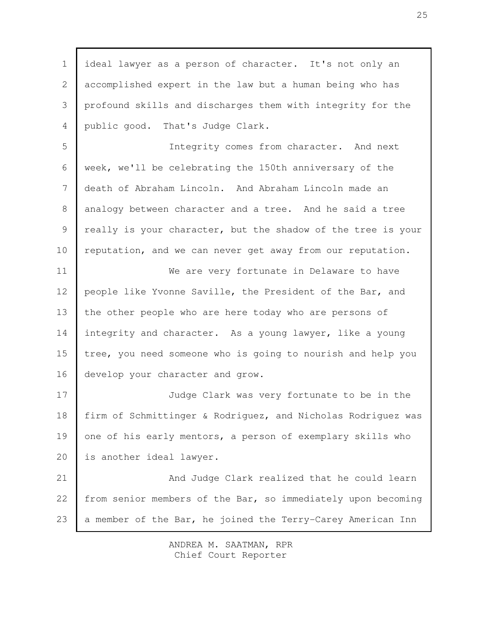ideal lawyer as a person of character. It's not only an accomplished expert in the law but a human being who has profound skills and discharges them with integrity for the public good. That's Judge Clark. Integrity comes from character. And next week, we'll be celebrating the 150th anniversary of the death of Abraham Lincoln. And Abraham Lincoln made an analogy between character and a tree. And he said a tree really is your character, but the shadow of the tree is your reputation, and we can never get away from our reputation. We are very fortunate in Delaware to have people like Yvonne Saville, the President of the Bar, and the other people who are here today who are persons of integrity and character. As a young lawyer, like a young tree, you need someone who is going to nourish and help you develop your character and grow. Judge Clark was very fortunate to be in the firm of Schmittinger & Rodriguez, and Nicholas Rodriguez was one of his early mentors, a person of exemplary skills who is another ideal lawyer. And Judge Clark realized that he could learn from senior members of the Bar, so immediately upon becoming a member of the Bar, he joined the Terry-Carey American Inn 1 2 3 4 5 6 7 8 9 10 11 12 13 14 15 16 17 18 19 20 21 22 23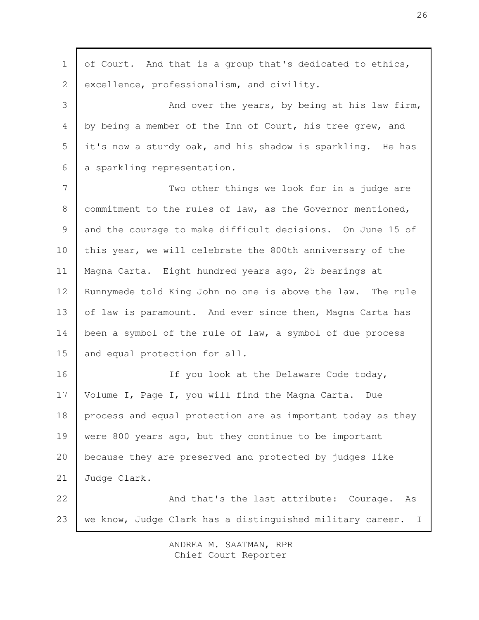| $\mathbf 1$    | of Court. And that is a group that's dedicated to ethics,   |
|----------------|-------------------------------------------------------------|
| $\overline{2}$ | excellence, professionalism, and civility.                  |
| 3              | And over the years, by being at his law firm,               |
| 4              | by being a member of the Inn of Court, his tree grew, and   |
| 5              | it's now a sturdy oak, and his shadow is sparkling. He has  |
| 6              | a sparkling representation.                                 |
| 7              | Two other things we look for in a judge are                 |
| 8              | commitment to the rules of law, as the Governor mentioned,  |
| 9              | and the courage to make difficult decisions. On June 15 of  |
| 10             | this year, we will celebrate the 800th anniversary of the   |
| 11             | Magna Carta. Eight hundred years ago, 25 bearings at        |
| 12             | Runnymede told King John no one is above the law. The rule  |
| 13             | of law is paramount. And ever since then, Magna Carta has   |
| 14             | been a symbol of the rule of law, a symbol of due process   |
| 15             | and equal protection for all.                               |
| 16             | If you look at the Delaware Code today,                     |
| 17             | Volume I, Page I, you will find the Magna Carta. Due        |
| 18             | process and equal protection are as important today as they |
| 19             | were 800 years ago, but they continue to be important       |
| 20             | because they are preserved and protected by judges like     |
| 21             | Judge Clark.                                                |
| 22             | And that's the last attribute: Courage.<br>As               |
| 23             | we know, Judge Clark has a distinguished military career. I |
|                |                                                             |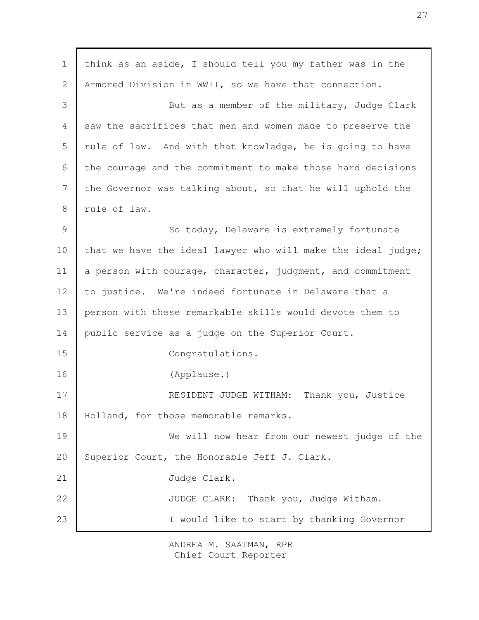| $\mathbf 1$    | think as an aside, I should tell you my father was in the    |
|----------------|--------------------------------------------------------------|
| $\mathbf{2}$   | Armored Division in WWII, so we have that connection.        |
| 3              | But as a member of the military, Judge Clark                 |
| $\overline{4}$ | saw the sacrifices that men and women made to preserve the   |
| 5              | rule of law. And with that knowledge, he is going to have    |
| 6              | the courage and the commitment to make those hard decisions  |
| 7              | the Governor was talking about, so that he will uphold the   |
| 8              | rule of law.                                                 |
| $\overline{9}$ | So today, Delaware is extremely fortunate                    |
| 10             | that we have the ideal lawyer who will make the ideal judge; |
| 11             | a person with courage, character, judgment, and commitment   |
| 12             | to justice. We're indeed fortunate in Delaware that a        |
| 13             | person with these remarkable skills would devote them to     |
| 14             | public service as a judge on the Superior Court.             |
| 15             | Congratulations.                                             |
| 16             | (Applause.)                                                  |
| 17             | RESIDENT JUDGE WITHAM:<br>Thank you, Justice                 |
| 18             | Holland, for those memorable remarks.                        |
| 19             | We will now hear from our newest judge of the                |
| 20             | Superior Court, the Honorable Jeff J. Clark.                 |
| 21             | Judge Clark.                                                 |
| 22             | JUDGE CLARK: Thank you, Judge Witham.                        |
| 23             | I would like to start by thanking Governor                   |
|                |                                                              |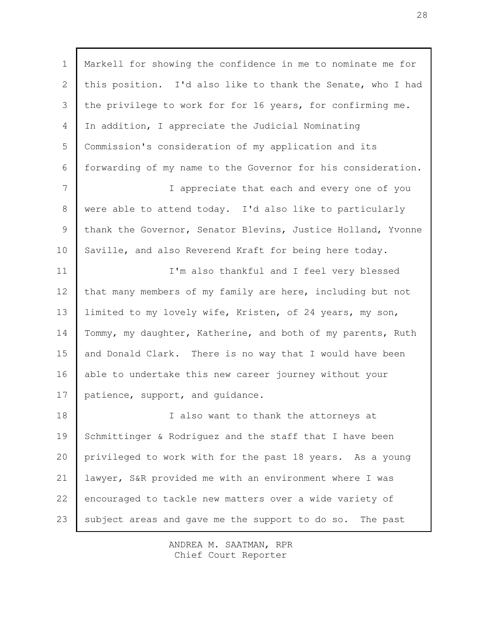Markell for showing the confidence in me to nominate me for this position. I'd also like to thank the Senate, who I had the privilege to work for for 16 years, for confirming me. In addition, I appreciate the Judicial Nominating Commission's consideration of my application and its forwarding of my name to the Governor for his consideration. I appreciate that each and every one of you were able to attend today. I'd also like to particularly thank the Governor, Senator Blevins, Justice Holland, Yvonne Saville, and also Reverend Kraft for being here today. I'm also thankful and I feel very blessed that many members of my family are here, including but not limited to my lovely wife, Kristen, of 24 years, my son, Tommy, my daughter, Katherine, and both of my parents, Ruth and Donald Clark. There is no way that I would have been able to undertake this new career journey without your patience, support, and guidance. I also want to thank the attorneys at Schmittinger & Rodriguez and the staff that I have been privileged to work with for the past 18 years. As a young lawyer, S&R provided me with an environment where I was encouraged to tackle new matters over a wide variety of subject areas and gave me the support to do so. The past 1 2 3 4 5 6 7 8 9 10 11 12 13 14 15 16 17 18 19 20 21 22 23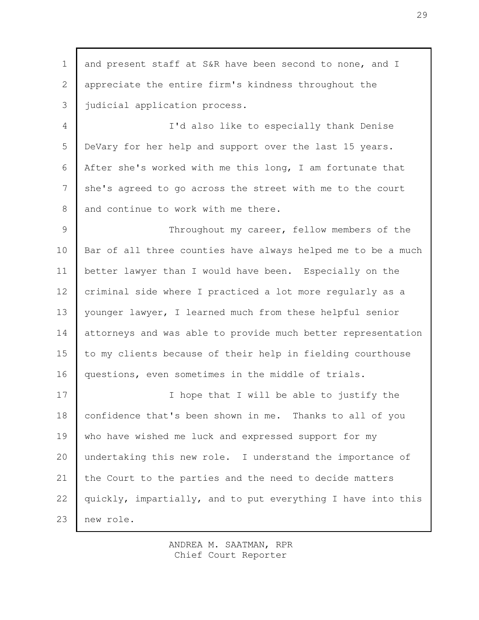and present staff at S&R have been second to none, and I appreciate the entire firm's kindness throughout the judicial application process. I'd also like to especially thank Denise DeVary for her help and support over the last 15 years. After she's worked with me this long, I am fortunate that she's agreed to go across the street with me to the court and continue to work with me there. Throughout my career, fellow members of the Bar of all three counties have always helped me to be a much better lawyer than I would have been. Especially on the criminal side where I practiced a lot more regularly as a younger lawyer, I learned much from these helpful senior attorneys and was able to provide much better representation to my clients because of their help in fielding courthouse questions, even sometimes in the middle of trials. I hope that I will be able to justify the confidence that's been shown in me. Thanks to all of you who have wished me luck and expressed support for my undertaking this new role. I understand the importance of the Court to the parties and the need to decide matters quickly, impartially, and to put everything I have into this new role. 1 2 3 4 5 6 7 8 9 10 11 12 13 14 15 16 17 18 19 20 21 22 23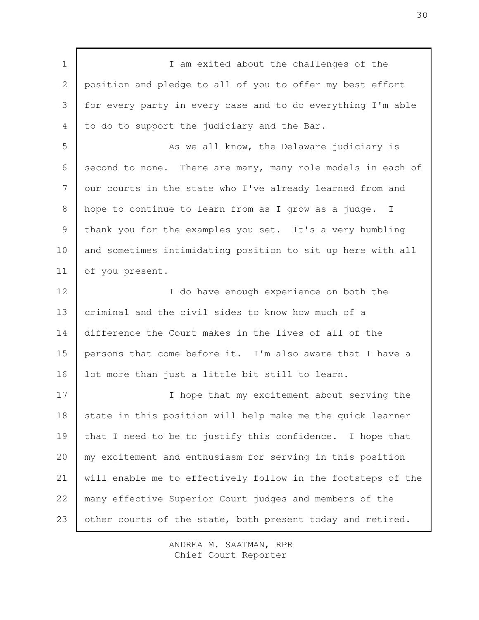I am exited about the challenges of the position and pledge to all of you to offer my best effort for every party in every case and to do everything I'm able to do to support the judiciary and the Bar. As we all know, the Delaware judiciary is second to none. There are many, many role models in each of our courts in the state who I've already learned from and hope to continue to learn from as I grow as a judge. I thank you for the examples you set. It's a very humbling and sometimes intimidating position to sit up here with all of you present. I do have enough experience on both the criminal and the civil sides to know how much of a difference the Court makes in the lives of all of the persons that come before it. I'm also aware that I have a lot more than just a little bit still to learn. I hope that my excitement about serving the state in this position will help make me the quick learner that I need to be to justify this confidence. I hope that my excitement and enthusiasm for serving in this position will enable me to effectively follow in the footsteps of the many effective Superior Court judges and members of the other courts of the state, both present today and retired. 1 2 3 4 5 6 7 8 9 10 11 12 13 14 15 16 17 18 19 20 21 22 23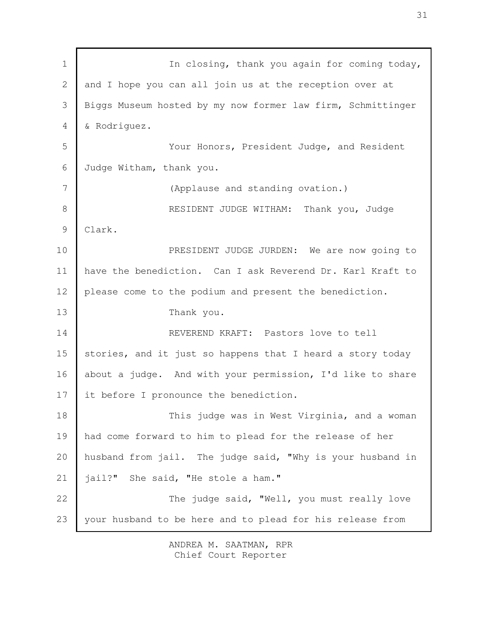In closing, thank you again for coming today, and I hope you can all join us at the reception over at Biggs Museum hosted by my now former law firm, Schmittinger & Rodriguez. Your Honors, President Judge, and Resident Judge Witham, thank you. (Applause and standing ovation.) RESIDENT JUDGE WITHAM: Thank you, Judge Clark. PRESIDENT JUDGE JURDEN: We are now going to have the benediction. Can I ask Reverend Dr. Karl Kraft to please come to the podium and present the benediction. Thank you. REVEREND KRAFT: Pastors love to tell stories, and it just so happens that I heard a story today about a judge. And with your permission, I'd like to share it before I pronounce the benediction. This judge was in West Virginia, and a woman had come forward to him to plead for the release of her husband from jail. The judge said, "Why is your husband in jail?" She said, "He stole a ham." The judge said, "Well, you must really love your husband to be here and to plead for his release from 1 2 3 4 5 6 7 8 9 10 11 12 13 14 15 16 17 18 19 20 21 22 23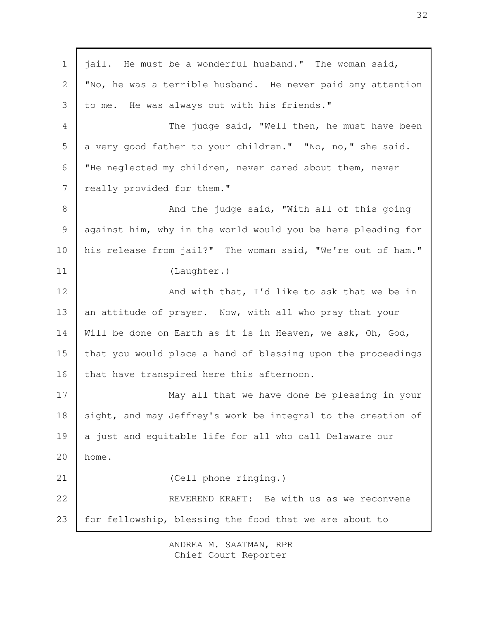| $\mathbf 1$    | jail. He must be a wonderful husband." The woman said,       |
|----------------|--------------------------------------------------------------|
| $\overline{2}$ | "No, he was a terrible husband. He never paid any attention  |
| 3              | to me. He was always out with his friends."                  |
| $\overline{4}$ | The judge said, "Well then, he must have been                |
| 5              | a very good father to your children." "No, no," she said.    |
| 6              | "He neglected my children, never cared about them, never     |
| 7              | really provided for them."                                   |
| 8              | And the judge said, "With all of this going                  |
| $\mathcal{G}$  | against him, why in the world would you be here pleading for |
| 10             | his release from jail?" The woman said, "We're out of ham."  |
| 11             | (Laughter.)                                                  |
| 12             | And with that, I'd like to ask that we be in                 |
| 13             | an attitude of prayer. Now, with all who pray that your      |
| 14             | Will be done on Earth as it is in Heaven, we ask, Oh, God,   |
| 15             | that you would place a hand of blessing upon the proceedings |
| 16             | that have transpired here this afternoon.                    |
| 17             | May all that we have done be pleasing in your                |
| 18             | sight, and may Jeffrey's work be integral to the creation of |
| 19             | a just and equitable life for all who call Delaware our      |
| 20             | home.                                                        |
| 21             | (Cell phone ringing.)                                        |
| 22             | REVEREND KRAFT: Be with us as we reconvene                   |
| 23             | for fellowship, blessing the food that we are about to       |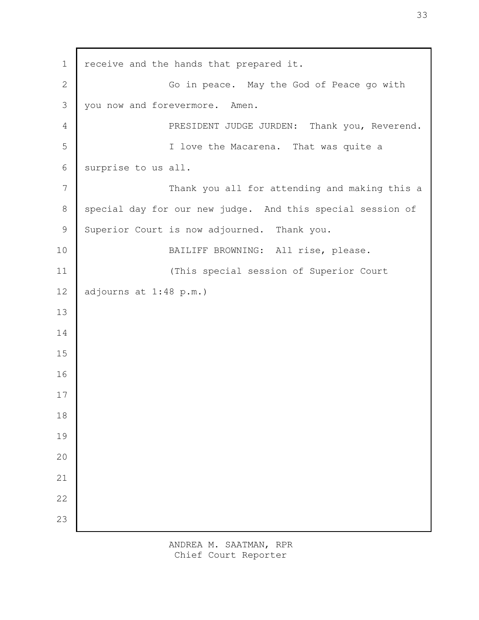receive and the hands that prepared it. Go in peace. May the God of Peace go with you now and forevermore. Amen. PRESIDENT JUDGE JURDEN: Thank you, Reverend. I love the Macarena. That was quite a surprise to us all. Thank you all for attending and making this a special day for our new judge. And this special session of Superior Court is now adjourned. Thank you. BAILIFF BROWNING: All rise, please. (This special session of Superior Court adjourns at 1:48 p.m.)